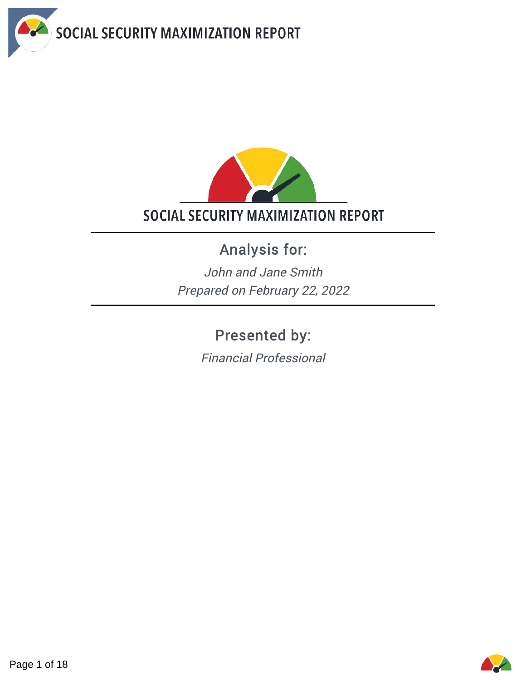



# Analysis for:

John and Jane Smith Prepared on February 22, 2022

# Presented by:

Financial Professional

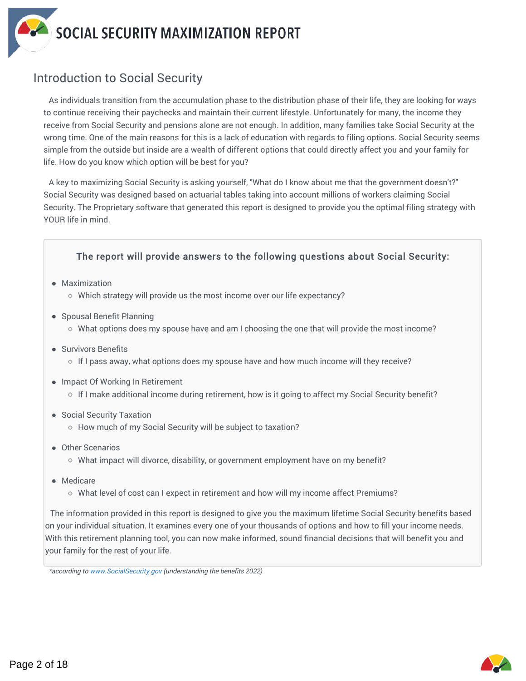

## Introduction to Social Security

As individuals transition from the accumulation phase to the distribution phase of their life, they are looking for ways to continue receiving their paychecks and maintain their current lifestyle. Unfortunately for many, the income they receive from Social Security and pensions alone are not enough. In addition, many families take Social Security at the wrong time. One of the main reasons for this is a lack of education with regards to filing options. Social Security seems simple from the outside but inside are a wealth of different options that could directly affect you and your family for life. How do you know which option will be best for you?

A key to maximizing Social Security is asking yourself, "What do I know about me that the government doesn't?" Social Security was designed based on actuarial tables taking into account millions of workers claiming Social Security. The Proprietary software that generated this report is designed to provide you the optimal filing strategy with YOUR life in mind.

#### The report will provide answers to the following questions about Social Security:

- Maximization
	- Which strategy will provide us the most income over our life expectancy?
- Spousal Benefit Planning
	- $\circ$  What options does my spouse have and am I choosing the one that will provide the most income?
- Survivors Benefits
	- $\circ$  If I pass away, what options does my spouse have and how much income will they receive?
- Impact Of Working In Retirement
	- $\circ$  If I make additional income during retirement, how is it going to affect my Social Security benefit?
- Social Security Taxation
	- o How much of my Social Security will be subject to taxation?
- Other Scenarios
	- $\circ$  What impact will divorce, disability, or government employment have on my benefit?
- Medicare
	- $\circ$  What level of cost can I expect in retirement and how will my income affect Premiums?

The information provided in this report is designed to give you the maximum lifetime Social Security benefits based on your individual situation. It examines every one of your thousands of options and how to fill your income needs. With this retirement planning tool, you can now make informed, sound financial decisions that will benefit you and your family for the rest of your life.



<sup>\*</sup>according to www.SocialSecurity.gov (understanding the benefits 2022)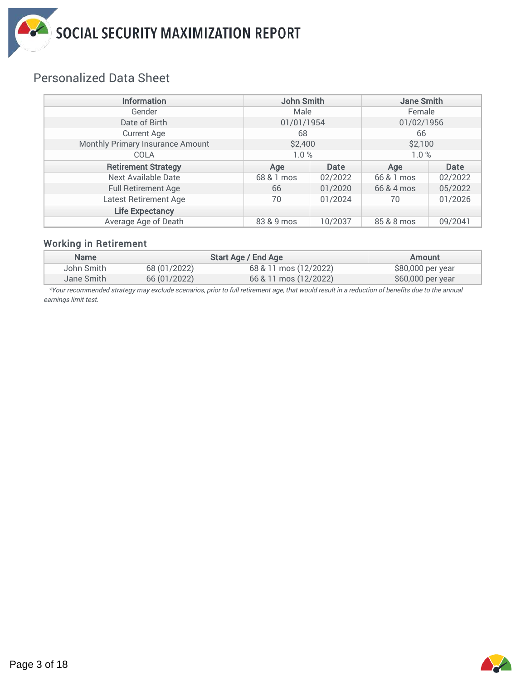

# Personalized Data Sheet

| <b>Information</b>               | <b>John Smith</b> |                | <b>Jane Smith</b> |         |
|----------------------------------|-------------------|----------------|-------------------|---------|
| Gender                           |                   | Male<br>Female |                   |         |
| Date of Birth                    | 01/01/1954        |                | 01/02/1956        |         |
| <b>Current Age</b>               | 68                |                | 66                |         |
| Monthly Primary Insurance Amount | \$2,400           |                | \$2,100           |         |
| COLA                             | 1.0%              |                | 1.0%              |         |
| <b>Retirement Strategy</b>       | Age               | Date           | Age               | Date    |
| Next Available Date              | 68 & 1 mos        | 02/2022        | 66 & 1 mos        | 02/2022 |
| <b>Full Retirement Age</b>       | 66                | 01/2020        | 66 & 4 mos        | 05/2022 |
| Latest Retirement Age            | 70                | 01/2024        | 70                | 01/2026 |
| <b>Life Expectancy</b>           |                   |                |                   |         |
| Average Age of Death             | 83 & 9 mos        | 10/2037        | 85 & 8 mos        | 09/2041 |

#### Working in Retirement

| <b>Name</b> |              | Start Age / End Age   | Amount            |
|-------------|--------------|-----------------------|-------------------|
| John Smith  | 68 (01/2022) | 68 & 11 mos (12/2022) | \$80,000 per year |
| Jane Smith. | 66 (01/2022) | 66 & 11 mos (12/2022) | \$60,000 per year |

\*Your recommended strategy may exclude scenarios, prior to full retirement age, that would result in a reduction of benefits due to the annual earnings limit test.



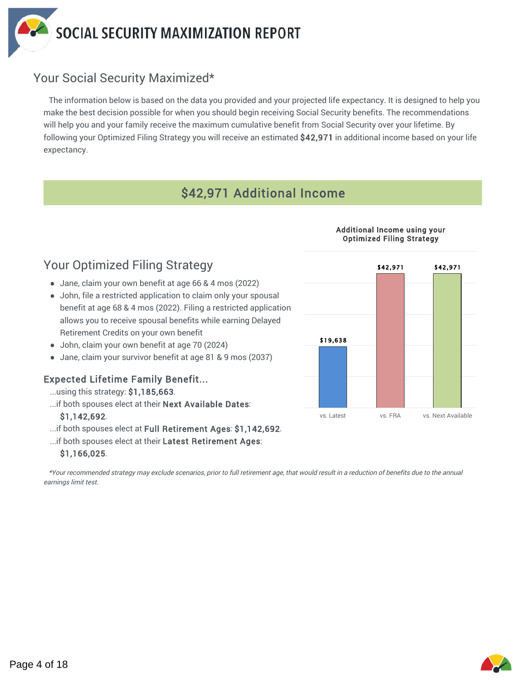

# Your Social Security Maximized\*

The information below is based on the data you provided and your projected life expectancy. It is designed to help you make the best decision possible for when you should begin receiving Social Security benefits. The recommendations will help you and your family receive the maximum cumulative benefit from Social Security over your lifetime. By following your Optimized Filing Strategy you will receive an estimated \$42,971 in additional income based on your life expectancy.

# \$42,971 Additional Income

#### Additional Income using your Optimized Filing Strategy



# Your Optimized Filing Strategy

- Jane, claim your own benefit at age 66 & 4 mos (2022)
- John, file a restricted application to claim only your spousal benefit at age 68 & 4 mos (2022). Filing a restricted application allows you to receive spousal benefits while earning Delayed Retirement Credits on your own benefit
- John, claim your own benefit at age 70 (2024)
- Jane, claim your survivor benefit at age 81 & 9 mos (2037)

#### Expected Lifetime Family Benefit...

- ...using this strategy: \$1,185,663.
- ...if both spouses elect at their Next Available Dates:

#### \$1,142,692.

- ...if both spouses elect at Full Retirement Ages: \$1,142,692.
- ...if both spouses elect at their Latest Retirement Ages:

#### \$1,166,025.

\*Your recommended strategy may exclude scenarios, prior to full retirement age, that would result in a reduction of benefits due to the annual earnings limit test.

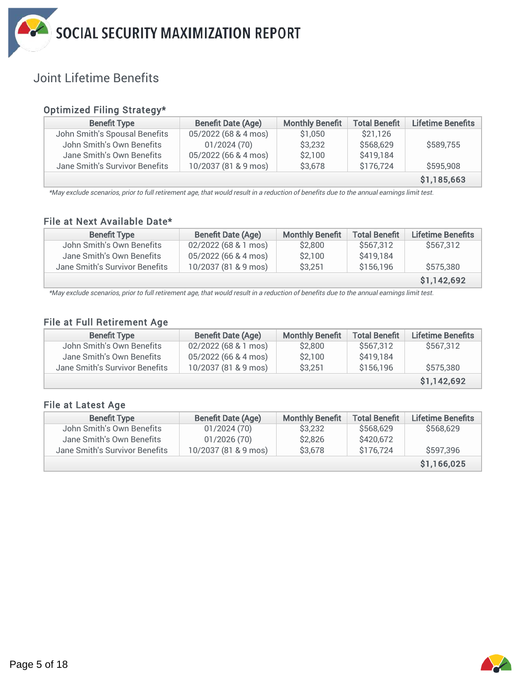

# Joint Lifetime Benefits

#### Optimized Filing Strategy\*

| <b>Benefit Type</b>            | <b>Benefit Date (Age)</b> | <b>Monthly Benefit</b> | <b>Total Benefit</b> | Lifetime Benefits |
|--------------------------------|---------------------------|------------------------|----------------------|-------------------|
| John Smith's Spousal Benefits  | 05/2022 (68 & 4 mos)      | \$1,050                | \$21,126             |                   |
| John Smith's Own Benefits      | 01/2024(70)               | \$3,232                | \$568,629            | \$589,755         |
| Jane Smith's Own Benefits      | 05/2022 (66 & 4 mos)      | \$2,100                | \$419,184            |                   |
| Jane Smith's Survivor Benefits | 10/2037 (81 & 9 mos)      | \$3,678                | \$176,724            | \$595,908         |
|                                |                           |                        |                      | \$1,185,663       |

\*May exclude scenarios, prior to full retirement age, that would result in a reduction of benefits due to the annual earnings limit test.

#### File at Next Available Date\*

| <b>Benefit Type</b>            | <b>Benefit Date (Age)</b> | <b>Monthly Benefit</b> | <b>Total Benefit</b> | <b>Lifetime Benefits</b> |
|--------------------------------|---------------------------|------------------------|----------------------|--------------------------|
| John Smith's Own Benefits      | 02/2022 (68 & 1 mos)      | \$2,800                | \$567.312            | \$567,312                |
| Jane Smith's Own Benefits      | 05/2022 (66 & 4 mos)      | \$2,100                | \$419,184            |                          |
| Jane Smith's Survivor Benefits | 10/2037 (81 & 9 mos)      | \$3,251                | \$156,196            | \$575,380                |
|                                |                           |                        |                      | \$1,142,692              |

\*May exclude scenarios, prior to full retirement age, that would result in a reduction of benefits due to the annual earnings limit test.

#### File at Full Retirement Age

| <b>Benefit Type</b>            | <b>Benefit Date (Age)</b> | <b>Monthly Benefit</b> | <b>Total Benefit</b> | Lifetime Benefits |
|--------------------------------|---------------------------|------------------------|----------------------|-------------------|
| John Smith's Own Benefits      | 02/2022 (68 & 1 mos)      | \$2,800                | \$567.312            | \$567,312         |
| Jane Smith's Own Benefits      | 05/2022 (66 & 4 mos)      | \$2.100                | \$419,184            |                   |
| Jane Smith's Survivor Benefits | 10/2037 (81 & 9 mos)      | \$3,251                | \$156,196            | \$575,380         |
|                                |                           |                        |                      | \$1,142,692       |

#### File at Latest Age

| <b>Benefit Type</b>            | <b>Benefit Date (Age)</b> | <b>Monthly Benefit</b> | <b>Total Benefit</b> | <b>Lifetime Benefits</b> |
|--------------------------------|---------------------------|------------------------|----------------------|--------------------------|
| John Smith's Own Benefits      | 01/2024(70)               | \$3,232                | \$568,629            | \$568,629                |
| Jane Smith's Own Benefits      | 01/2026(70)               | \$2,826                | \$420,672            |                          |
| Jane Smith's Survivor Benefits | 10/2037 (81 & 9 mos)      | \$3,678                | \$176.724            | \$597,396                |
|                                |                           |                        |                      | \$1,166,025              |

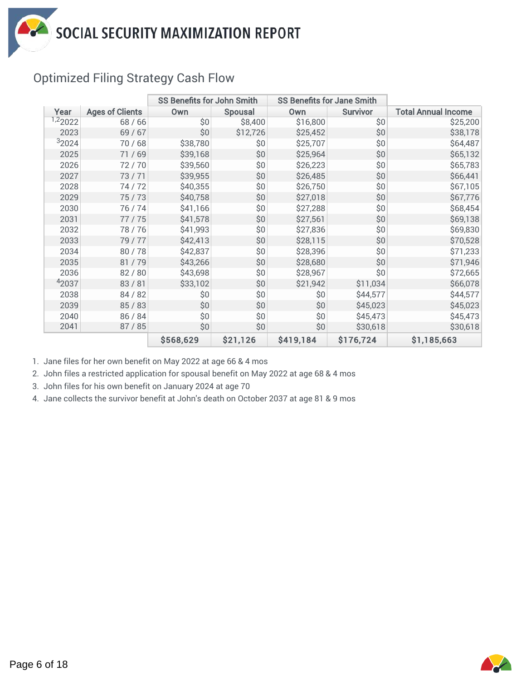

# Optimized Filing Strategy Cash Flow

|         |                        | SS Benefits for John Smith |                | <b>SS Benefits for Jane Smith</b> |                 |                            |
|---------|------------------------|----------------------------|----------------|-----------------------------------|-----------------|----------------------------|
| Year    | <b>Ages of Clients</b> | <b>Own</b>                 | <b>Spousal</b> | Own                               | <b>Survivor</b> | <b>Total Annual Income</b> |
| 1,22022 | 68 / 66                | \$0                        | \$8,400        | \$16,800                          | \$0             | \$25,200                   |
| 2023    | 69 / 67                | \$0                        | \$12,726       | \$25,452                          | \$0             | \$38,178                   |
| 32024   | 70/68                  | \$38,780                   | \$0            | \$25,707                          | \$0             | \$64,487                   |
| 2025    | 71 / 69                | \$39,168                   | \$0            | \$25,964                          | \$0             | \$65,132                   |
| 2026    | 72/70                  | \$39,560                   | \$0            | \$26,223                          | \$0             | \$65,783                   |
| 2027    | 73/71                  | \$39,955                   | \$0            | \$26,485                          | \$0             | \$66,441                   |
| 2028    | 74/72                  | \$40,355                   | \$0            | \$26,750                          | \$0             | \$67,105                   |
| 2029    | 75/73                  | \$40,758                   | \$0            | \$27,018                          | \$0             | \$67,776                   |
| 2030    | 76 / 74                | \$41,166                   | \$0            | \$27,288                          | \$0             | \$68,454                   |
| 2031    | 77/75                  | \$41,578                   | \$0            | \$27,561                          | \$0             | \$69,138                   |
| 2032    | 78/76                  | \$41,993                   | \$0            | \$27,836                          | \$0             | \$69,830                   |
| 2033    | 79 / 77                | \$42,413                   | \$0            | \$28,115                          | \$0             | \$70,528                   |
| 2034    | 80/78                  | \$42,837                   | \$0            | \$28,396                          | \$0             | \$71,233                   |
| 2035    | 81/79                  | \$43,266                   | \$0            | \$28,680                          | \$0             | \$71,946                   |
| 2036    | 82 / 80                | \$43,698                   | \$0            | \$28,967                          | \$0             | \$72,665                   |
| 42037   | 83/81                  | \$33,102                   | \$0            | \$21,942                          | \$11,034        | \$66,078                   |
| 2038    | 84 / 82                | \$0                        | \$0            | \$0                               | \$44,577        | \$44,577                   |
| 2039    | 85/83                  | \$0                        | \$0            | \$0                               | \$45,023        | \$45,023                   |
| 2040    | 86 / 84                | \$0                        | \$0            | \$0                               | \$45,473        | \$45,473                   |
| 2041    | 87 / 85                | \$0                        | \$0            | \$0                               | \$30,618        | \$30,618                   |
|         |                        | \$568,629                  | \$21,126       | \$419,184                         | \$176,724       | \$1,185,663                |

1. Jane files for her own benefit on May 2022 at age 66 & 4 mos

2. John files a restricted application for spousal benefit on May 2022 at age 68 & 4 mos

3. John files for his own benefit on January 2024 at age 70

4. Jane collects the survivor benefit at John's death on October 2037 at age 81 & 9 mos

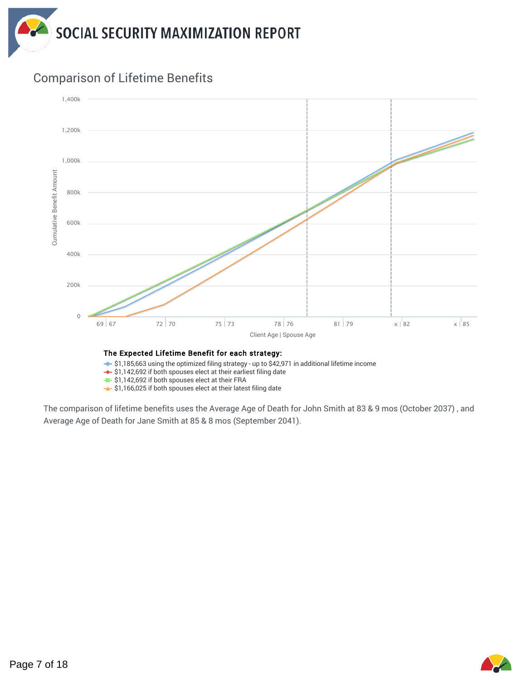



### Comparison of Lifetime Benefits

 $\div$  \$1,185,663 using the optimized filing strategy - up to \$42,971 in additional lifetime income

 $\div$  \$1,142,692 if both spouses elect at their earliest filing date

 $\leftarrow$  \$1,142,692 if both spouses elect at their FRA

 $\rightarrow$  \$1,166,025 if both spouses elect at their latest filing date

The comparison of lifetime benefits uses the Average Age of Death for John Smith at 83 & 9 mos (October 2037) , and Average Age of Death for Jane Smith at 85 & 8 mos (September 2041).

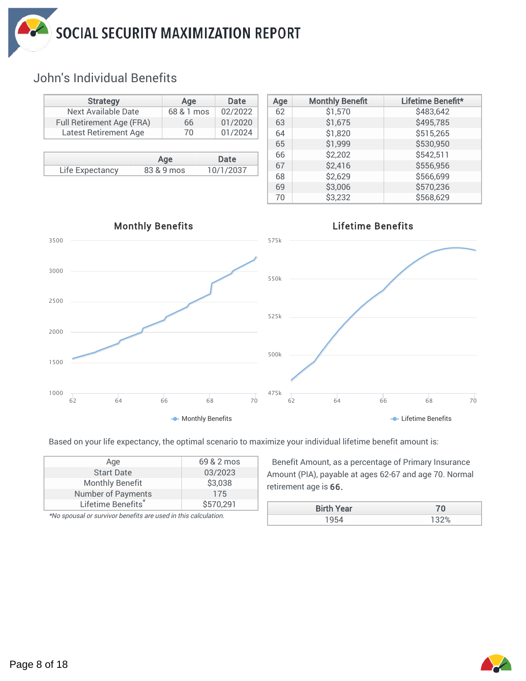

# John's Individual Benefits

| <b>Strategy</b>           |                     | Age        | Date      |
|---------------------------|---------------------|------------|-----------|
|                           | Next Available Date |            |           |
| Full Retirement Age (FRA) | 66                  | 01/2020    |           |
| Latest Retirement Age     |                     | 70         | 01/2024   |
|                           |                     |            |           |
|                           |                     |            |           |
|                           |                     | Age        | Date      |
| Life Expectancy           |                     | 83 & 9 mos | 10/1/2037 |

| Age | <b>Monthly Benefit</b> | Lifetime Benefit* |
|-----|------------------------|-------------------|
| 62  | \$1,570                | \$483,642         |
| 63  | \$1,675                | \$495,785         |
| 64  | \$1,820                | \$515,265         |
| 65  | \$1,999                | \$530,950         |
| 66  | \$2,202                | \$542,511         |
| 67  | \$2,416                | \$556,956         |
| 68  | \$2,629                | \$566,699         |
| 69  | \$3,006                | \$570,236         |
| 70  | \$3,232                | \$568,629         |



Based on your life expectancy, the optimal scenario to maximize your individual lifetime benefit amount is:

| Age                       | 69 & 2 mos |
|---------------------------|------------|
| <b>Start Date</b>         | 03/2023    |
| <b>Monthly Benefit</b>    | \$3,038    |
| <b>Number of Payments</b> | 175        |
| Lifetime Benefits*        | \$570,291  |

\*No spousal or survivor benefits are used in this calculation.

Benefit Amount, as a percentage of Primary Insurance Amount (PIA), payable at ages 62-67 and age 70. Normal retirement age is 66.

| <b>Birth Year</b> | 70      |
|-------------------|---------|
|                   | שניכי ד |
|                   |         |

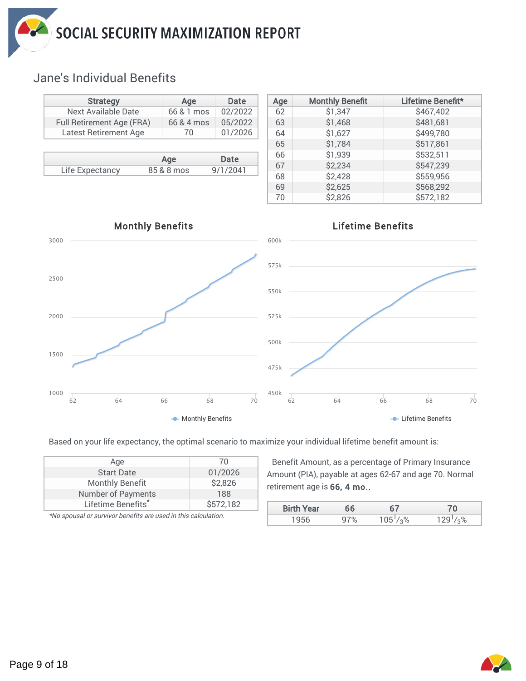

# Jane's Individual Benefits

| <b>Strategy</b>              |            | Age        | Date     |
|------------------------------|------------|------------|----------|
| Next Available Date          |            | 66 & 1 mos | 02/2022  |
| Full Retirement Age (FRA)    | 66 & 4 mos | 05/2022    |          |
| <b>Latest Retirement Age</b> |            | 70         | 01/2026  |
|                              |            |            |          |
|                              |            |            |          |
|                              |            | Age        | Date     |
| Life Expectancy              |            | 85 & 8 mos | 9/1/2041 |

| Age | <b>Monthly Benefit</b> | Lifetime Benefit* |  |  |
|-----|------------------------|-------------------|--|--|
| 62  | \$1,347                | \$467,402         |  |  |
| 63  | \$1,468                | \$481,681         |  |  |
| 64  | \$1,627                | \$499,780         |  |  |
| 65  | \$1,784                | \$517,861         |  |  |
| 66  | \$1,939                | \$532,511         |  |  |
| 67  | \$2,234                | \$547,239         |  |  |
| 68  | \$2,428                | \$559,956         |  |  |
| 69  | \$2,625                | \$568,292         |  |  |
| 70  | \$2,826                | \$572,182         |  |  |



Based on your life expectancy, the optimal scenario to maximize your individual lifetime benefit amount is:

| Age                            | 70        |
|--------------------------------|-----------|
| <b>Start Date</b>              | 01/2026   |
| <b>Monthly Benefit</b>         | \$2,826   |
| <b>Number of Payments</b>      | 188       |
| Lifetime Benefits <sup>*</sup> | \$572,182 |

\*No spousal or survivor benefits are used in this calculation.

Benefit Amount, as a percentage of Primary Insurance Amount (PIA), payable at ages 62-67 and age 70. Normal retirement age is 66, 4 mo..

| <b>Birth Year</b> | 66   |                        |    |
|-------------------|------|------------------------|----|
|                   | $\%$ | 1.96<br>1 <sup>h</sup> | O/ |
|                   |      |                        |    |

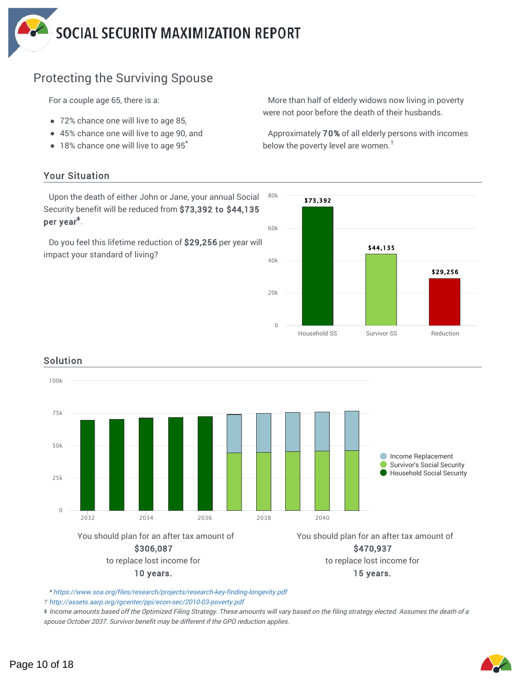# Protecting the Surviving Spouse

For a couple age 65, there is a:

- 72% chance one will live to age 85,
- 45% chance one will live to age 90, and
- $\bullet$  18% chance one will live to age 95 $^*$

#### Your Situation

Upon the death of either John or Jane, your annual Social Security benefit will be reduced from \$73,392 to \$44,135 per year<sup>‡</sup>.

Do you feel this lifetime reduction of \$29,256 per year will impact your standard of living?



More than half of elderly widows now living in poverty

Approximately 70% of all elderly persons with incomes

were not poor before the death of their husbands.





#### Solution

\* https://www.soa.org/files/research/projects/research-key-finding-longevity.pdf

*†* http://assets.aarp.org/rgcenter/ppi/econ-sec/2010-03-poverty.pdf

*ǂ* Income amounts based off the Optimized Filing Strategy. These amounts will vary based on the filing strategy elected. Assumes the death of a spouse October 2037. Survivor benefit may be different if the GPO reduction applies.

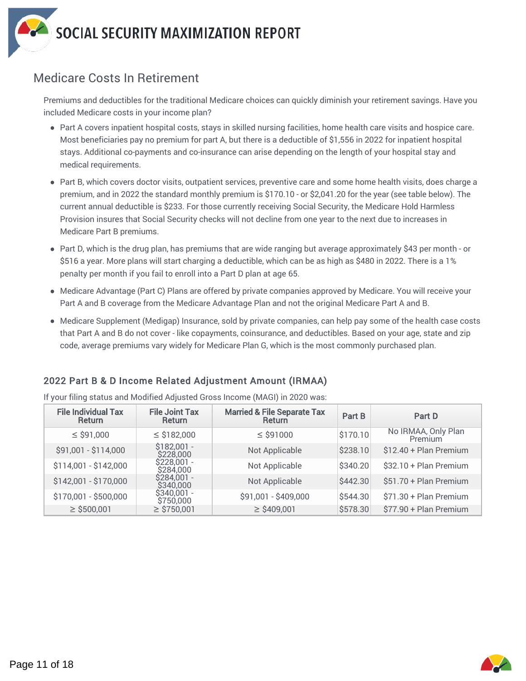

### Medicare Costs In Retirement

Premiums and deductibles for the traditional Medicare choices can quickly diminish your retirement savings. Have you included Medicare costs in your income plan?

- Part A covers inpatient hospital costs, stays in skilled nursing facilities, home health care visits and hospice care. Most beneficiaries pay no premium for part A, but there is a deductible of \$1,556 in 2022 for inpatient hospital stays. Additional co-payments and co-insurance can arise depending on the length of your hospital stay and medical requirements.
- Part B, which covers doctor visits, outpatient services, preventive care and some home health visits, does charge a premium, and in 2022 the standard monthly premium is \$170.10 - or \$2,041.20 for the year (see table below). The current annual deductible is \$233. For those currently receiving Social Security, the Medicare Hold Harmless Provision insures that Social Security checks will not decline from one year to the next due to increases in Medicare Part B premiums.
- Part D, which is the drug plan, has premiums that are wide ranging but average approximately \$43 per month or \$516 a year. More plans will start charging a deductible, which can be as high as \$480 in 2022. There is a 1% penalty per month if you fail to enroll into a Part D plan at age 65.
- Medicare Advantage (Part C) Plans are offered by private companies approved by Medicare. You will receive your Part A and B coverage from the Medicare Advantage Plan and not the original Medicare Part A and B.
- Medicare Supplement (Medigap) Insurance, sold by private companies, can help pay some of the health case costs that Part A and B do not cover - like copayments, coinsurance, and deductibles. Based on your age, state and zip code, average premiums vary widely for Medicare Plan G, which is the most commonly purchased plan.

#### 2022 Part B & D Income Related Adjustment Amount (IRMAA)

If your filing status and Modified Adjusted Gross Income (MAGI) in 2020 was:

| <b>File Individual Tax</b><br><b>Return</b> | <b>File Joint Tax</b><br><b>Return</b> | <b>Married &amp; File Separate Tax</b><br>Return | Part B   | Part D                         |
|---------------------------------------------|----------------------------------------|--------------------------------------------------|----------|--------------------------------|
| $\le$ \$91,000                              | $\le$ \$182,000                        | $\le$ \$91000                                    | \$170.10 | No IRMAA, Only Plan<br>Premium |
| \$91,001 - \$114,000                        | $$182,001 -$<br>\$228,000              | Not Applicable                                   | \$238.10 | \$12.40 + Plan Premium         |
| \$114,001 - \$142,000                       | \$228,001 -<br>\$284.000               | Not Applicable                                   | \$340.20 | \$32.10 + Plan Premium         |
| \$142,001 - \$170,000                       | $$284,001 -$<br>\$340,000              | Not Applicable                                   | \$442.30 | \$51.70 + Plan Premium         |
| \$170,001 - \$500,000                       | $$340,001 -$<br>\$750,000              | \$91,001 - \$409,000                             | \$544.30 | \$71.30 + Plan Premium         |
| $\ge$ \$500,001                             | $\ge$ \$750,001                        | $\geq$ \$409,001                                 | \$578.30 | \$77.90 + Plan Premium         |



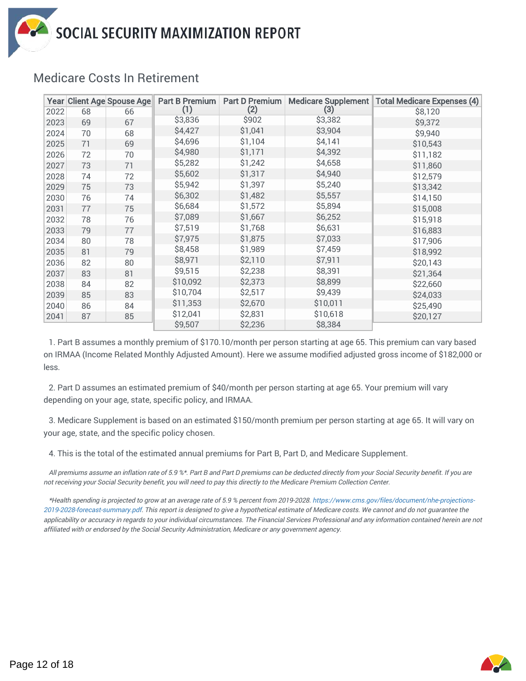|      |    | Year Client Age Spouse Age | Part B Premium | <b>Part D Premium</b> |          | Medicare Supplement   Total Medicare Expenses (4) |
|------|----|----------------------------|----------------|-----------------------|----------|---------------------------------------------------|
| 2022 | 68 | 66                         | (1)            | (2)                   | (3)      | \$8,120                                           |
| 2023 | 69 | 67                         | \$3,836        | \$902                 | \$3,382  | \$9,372                                           |
| 2024 | 70 | 68                         | \$4,427        | \$1,041               | \$3,904  | \$9,940                                           |
| 2025 | 71 | 69                         | \$4,696        | \$1,104               | \$4,141  | \$10,543                                          |
| 2026 | 72 | 70                         | \$4,980        | \$1,171               | \$4,392  | \$11,182                                          |
| 2027 | 73 | 71                         | \$5,282        | \$1,242               | \$4,658  | \$11,860                                          |
| 2028 | 74 | 72                         | \$5,602        | \$1,317               | \$4,940  | \$12,579                                          |
| 2029 | 75 | 73                         | \$5,942        | \$1,397               | \$5,240  | \$13,342                                          |
| 2030 | 76 | 74                         | \$6,302        | \$1,482               | \$5,557  | \$14,150                                          |
| 2031 | 77 | 75                         | \$6,684        | \$1,572               | \$5,894  | \$15,008                                          |
| 2032 | 78 | 76                         | \$7,089        | \$1,667               | \$6,252  | \$15,918                                          |
| 2033 | 79 | 77                         | \$7,519        | \$1,768               | \$6,631  | \$16,883                                          |
| 2034 | 80 | 78                         | \$7,975        | \$1,875               | \$7,033  | \$17,906                                          |
| 2035 | 81 | 79                         | \$8,458        | \$1,989               | \$7,459  | \$18,992                                          |
| 2036 | 82 | 80                         | \$8,971        | \$2,110               | \$7,911  | \$20,143                                          |
| 2037 | 83 | 81                         | \$9,515        | \$2,238               | \$8,391  | \$21,364                                          |
| 2038 | 84 | 82                         | \$10,092       | \$2,373               | \$8,899  | \$22,660                                          |
| 2039 | 85 | 83                         | \$10,704       | \$2,517               | \$9,439  | \$24,033                                          |
| 2040 | 86 | 84                         | \$11,353       | \$2,670               | \$10,011 | \$25,490                                          |
| 2041 | 87 | 85                         | \$12,041       | \$2,831               | \$10,618 | \$20,127                                          |
|      |    |                            | \$9,507        | \$2,236               | \$8,384  |                                                   |

# Medicare Costs In Retirement

1. Part B assumes a monthly premium of \$170.10/month per person starting at age 65. This premium can vary based on IRMAA (Income Related Monthly Adjusted Amount). Here we assume modified adjusted gross income of \$182,000 or less.

2. Part D assumes an estimated premium of \$40/month per person starting at age 65. Your premium will vary depending on your age, state, specific policy, and IRMAA.

3. Medicare Supplement is based on an estimated \$150/month premium per person starting at age 65. It will vary on your age, state, and the specific policy chosen.

4. This is the total of the estimated annual premiums for Part B, Part D, and Medicare Supplement.

All premiums assume an inflation rate of 5.9 %\*. Part B and Part D premiums can be deducted directly from your Social Security benefit. If you are not receiving your Social Security benefit, you will need to pay this directly to the Medicare Premium Collection Center.

\*Health spending is projected to grow at an average rate of 5.9 % percent from 2019-2028. https://www.cms.gov/files/document/nhe-projections-2019-2028-forecast-summary.pdf. This report is designed to give a hypothetical estimate of Medicare costs. We cannot and do not guarantee the applicability or accuracy in regards to your individual circumstances. The Financial Services Professional and any information contained herein are not affiliated with or endorsed by the Social Security Administration, Medicare or any government agency.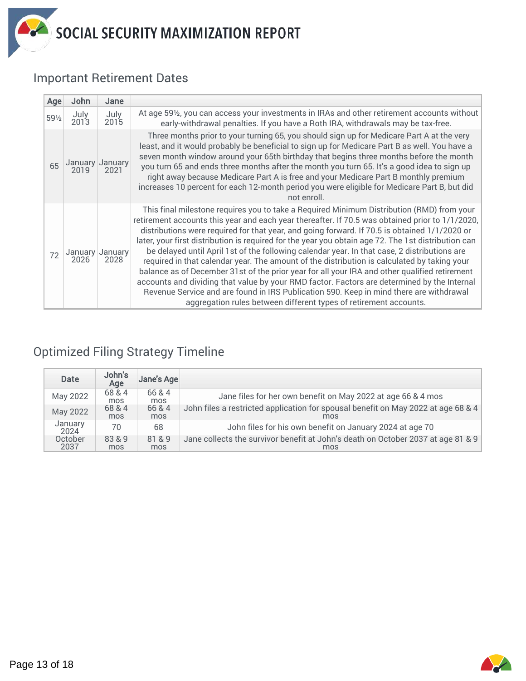## Important Retirement Dates

| Age   | John            | Jane                    |                                                                                                                                                                                                                                                                                                                                                                                                                                                                                                                                                                                                                                                                                                                                                                                                                                                                                                                                                                     |
|-------|-----------------|-------------------------|---------------------------------------------------------------------------------------------------------------------------------------------------------------------------------------------------------------------------------------------------------------------------------------------------------------------------------------------------------------------------------------------------------------------------------------------------------------------------------------------------------------------------------------------------------------------------------------------------------------------------------------------------------------------------------------------------------------------------------------------------------------------------------------------------------------------------------------------------------------------------------------------------------------------------------------------------------------------|
| 591/2 | July<br>2013    | July<br>2015            | At age 591/ <sub>2</sub> , you can access your investments in IRAs and other retirement accounts without<br>early-withdrawal penalties. If you have a Roth IRA, withdrawals may be tax-free.                                                                                                                                                                                                                                                                                                                                                                                                                                                                                                                                                                                                                                                                                                                                                                        |
| 65    | January<br>2019 | January<br>2021         | Three months prior to your turning 65, you should sign up for Medicare Part A at the very<br>least, and it would probably be beneficial to sign up for Medicare Part B as well. You have a<br>seven month window around your 65th birthday that begins three months before the month<br>you turn 65 and ends three months after the month you turn 65. It's a good idea to sign up<br>right away because Medicare Part A is free and your Medicare Part B monthly premium<br>increases 10 percent for each 12-month period you were eligible for Medicare Part B, but did<br>not enroll.                                                                                                                                                                                                                                                                                                                                                                            |
| 72    | 2026            | January January<br>2028 | This final milestone requires you to take a Required Minimum Distribution (RMD) from your<br>retirement accounts this year and each year thereafter. If 70.5 was obtained prior to 1/1/2020,<br>distributions were required for that year, and going forward. If 70.5 is obtained 1/1/2020 or<br>later, your first distribution is required for the year you obtain age 72. The 1st distribution can<br>be delayed until April 1st of the following calendar year. In that case, 2 distributions are<br>required in that calendar year. The amount of the distribution is calculated by taking your<br>balance as of December 31st of the prior year for all your IRA and other qualified retirement<br>accounts and dividing that value by your RMD factor. Factors are determined by the Internal<br>Revenue Service and are found in IRS Publication 590. Keep in mind there are withdrawal<br>aggregation rules between different types of retirement accounts. |

# Optimized Filing Strategy Timeline

| <b>Date</b>     | John's<br>Age | Jane's Age    |                                                                                          |
|-----------------|---------------|---------------|------------------------------------------------------------------------------------------|
| May 2022        | 68 & 4<br>mos | 66 & 4<br>mos | Jane files for her own benefit on May 2022 at age 66 & 4 mos                             |
| May 2022        | 68 & 4<br>mos | 66 & 4<br>mos | John files a restricted application for spousal benefit on May 2022 at age 68 & 4<br>mos |
| January<br>2024 | 70            | 68            | John files for his own benefit on January 2024 at age 70                                 |
| October<br>2037 | 83 & 9<br>mos | 81 & 9<br>mos | Jane collects the survivor benefit at John's death on October 2037 at age 81 & 9<br>mos  |

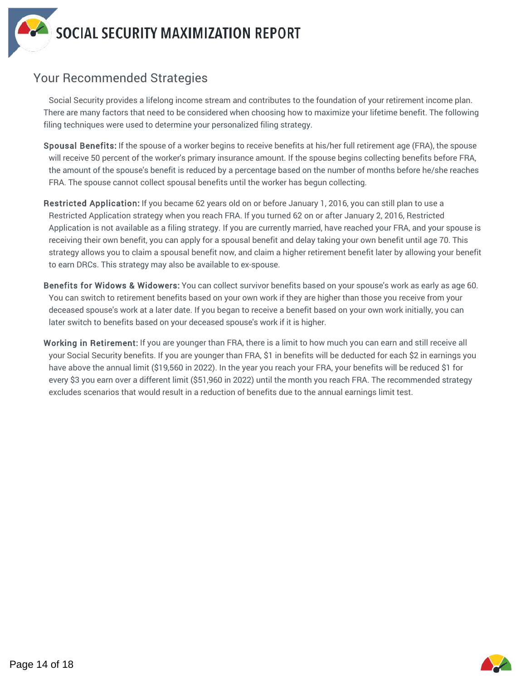

# Your Recommended Strategies

Social Security provides a lifelong income stream and contributes to the foundation of your retirement income plan. There are many factors that need to be considered when choosing how to maximize your lifetime benefit. The following filing techniques were used to determine your personalized filing strategy.

- Spousal Benefits: If the spouse of a worker begins to receive benefits at his/her full retirement age (FRA), the spouse will receive 50 percent of the worker's primary insurance amount. If the spouse begins collecting benefits before FRA, the amount of the spouse's benefit is reduced by a percentage based on the number of months before he/she reaches FRA. The spouse cannot collect spousal benefits until the worker has begun collecting.
- Restricted Application: If you became 62 years old on or before January 1, 2016, you can still plan to use a Restricted Application strategy when you reach FRA. If you turned 62 on or after January 2, 2016, Restricted Application is not available as a filing strategy. If you are currently married, have reached your FRA, and your spouse is receiving their own benefit, you can apply for a spousal benefit and delay taking your own benefit until age 70. This strategy allows you to claim a spousal benefit now, and claim a higher retirement benefit later by allowing your benefit to earn DRCs. This strategy may also be available to ex-spouse.
- Benefits for Widows & Widowers: You can collect survivor benefits based on your spouse's work as early as age 60. You can switch to retirement benefits based on your own work if they are higher than those you receive from your deceased spouse's work at a later date. If you began to receive a benefit based on your own work initially, you can later switch to benefits based on your deceased spouse's work if it is higher.
- Working in Retirement: If you are younger than FRA, there is a limit to how much you can earn and still receive all your Social Security benefits. If you are younger than FRA, \$1 in benefits will be deducted for each \$2 in earnings you have above the annual limit (\$19,560 in 2022). In the year you reach your FRA, your benefits will be reduced \$1 for every \$3 you earn over a different limit (\$51,960 in 2022) until the month you reach FRA. The recommended strategy excludes scenarios that would result in a reduction of benefits due to the annual earnings limit test.

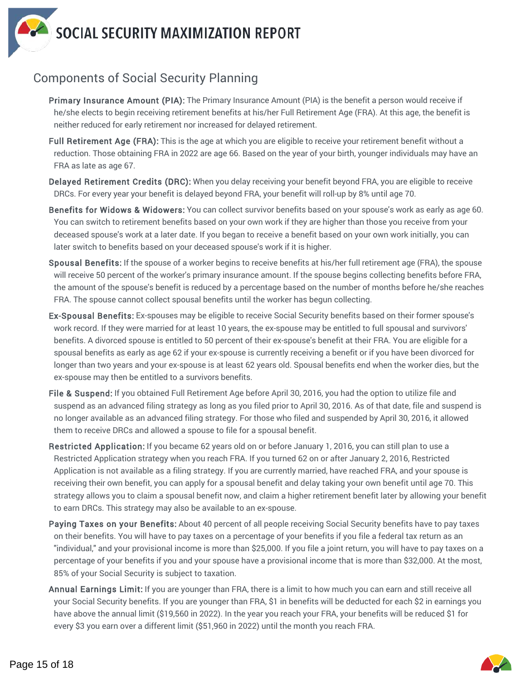

# Components of Social Security Planning

- Primary Insurance Amount (PIA): The Primary Insurance Amount (PIA) is the benefit a person would receive if he/she elects to begin receiving retirement benefits at his/her Full Retirement Age (FRA). At this age, the benefit is neither reduced for early retirement nor increased for delayed retirement.
- Full Retirement Age (FRA): This is the age at which you are eligible to receive your retirement benefit without a reduction. Those obtaining FRA in 2022 are age 66. Based on the year of your birth, younger individuals may have an FRA as late as age 67.
- Delayed Retirement Credits (DRC): When you delay receiving your benefit beyond FRA, you are eligible to receive DRCs. For every year your benefit is delayed beyond FRA, your benefit will roll-up by 8% until age 70.
- Benefits for Widows & Widowers: You can collect survivor benefits based on your spouse's work as early as age 60. You can switch to retirement benefits based on your own work if they are higher than those you receive from your deceased spouse's work at a later date. If you began to receive a benefit based on your own work initially, you can later switch to benefits based on your deceased spouse's work if it is higher.
- Spousal Benefits: If the spouse of a worker begins to receive benefits at his/her full retirement age (FRA), the spouse will receive 50 percent of the worker's primary insurance amount. If the spouse begins collecting benefits before FRA, the amount of the spouse's benefit is reduced by a percentage based on the number of months before he/she reaches FRA. The spouse cannot collect spousal benefits until the worker has begun collecting.
- Ex-Spousal Benefits: Ex-spouses may be eligible to receive Social Security benefits based on their former spouse's work record. If they were married for at least 10 years, the ex-spouse may be entitled to full spousal and survivors' benefits. A divorced spouse is entitled to 50 percent of their ex-spouse's benefit at their FRA. You are eligible for a spousal benefits as early as age 62 if your ex-spouse is currently receiving a benefit or if you have been divorced for longer than two years and your ex-spouse is at least 62 years old. Spousal benefits end when the worker dies, but the ex-spouse may then be entitled to a survivors benefits.
- File & Suspend: If you obtained Full Retirement Age before April 30, 2016, you had the option to utilize file and suspend as an advanced filing strategy as long as you filed prior to April 30, 2016. As of that date, file and suspend is no longer available as an advanced filing strategy. For those who filed and suspended by April 30, 2016, it allowed them to receive DRCs and allowed a spouse to file for a spousal benefit.
- Restricted Application: If you became 62 years old on or before January 1, 2016, you can still plan to use a Restricted Application strategy when you reach FRA. If you turned 62 on or after January 2, 2016, Restricted Application is not available as a filing strategy. If you are currently married, have reached FRA, and your spouse is receiving their own benefit, you can apply for a spousal benefit and delay taking your own benefit until age 70. This strategy allows you to claim a spousal benefit now, and claim a higher retirement benefit later by allowing your benefit to earn DRCs. This strategy may also be available to an ex-spouse.
- Paying Taxes on your Benefits: About 40 percent of all people receiving Social Security benefits have to pay taxes on their benefits. You will have to pay taxes on a percentage of your benefits if you file a federal tax return as an "individual," and your provisional income is more than \$25,000. If you file a joint return, you will have to pay taxes on a percentage of your benefits if you and your spouse have a provisional income that is more than \$32,000. At the most, 85% of your Social Security is subject to taxation.
- Annual Earnings Limit: If you are younger than FRA, there is a limit to how much you can earn and still receive all your Social Security benefits. If you are younger than FRA, \$1 in benefits will be deducted for each \$2 in earnings you have above the annual limit (\$19,560 in 2022). In the year you reach your FRA, your benefits will be reduced \$1 for every \$3 you earn over a different limit (\$51,960 in 2022) until the month you reach FRA.

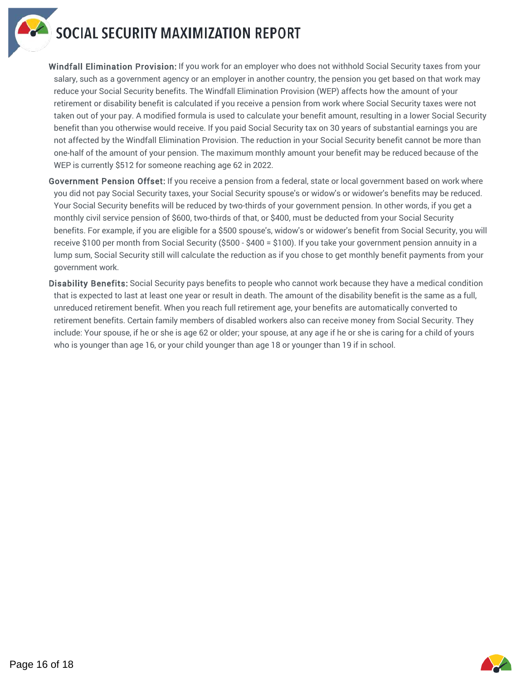

Windfall Elimination Provision: If you work for an employer who does not withhold Social Security taxes from your salary, such as a government agency or an employer in another country, the pension you get based on that work may reduce your Social Security benefits. The Windfall Elimination Provision (WEP) affects how the amount of your retirement or disability benefit is calculated if you receive a pension from work where Social Security taxes were not taken out of your pay. A modified formula is used to calculate your benefit amount, resulting in a lower Social Security benefit than you otherwise would receive. If you paid Social Security tax on 30 years of substantial earnings you are not affected by the Windfall Elimination Provision. The reduction in your Social Security benefit cannot be more than one-half of the amount of your pension. The maximum monthly amount your benefit may be reduced because of the WEP is currently \$512 for someone reaching age 62 in 2022.

- Government Pension Offset: If you receive a pension from a federal, state or local government based on work where you did not pay Social Security taxes, your Social Security spouse's or widow's or widower's benefits may be reduced. Your Social Security benefits will be reduced by two-thirds of your government pension. In other words, if you get a monthly civil service pension of \$600, two-thirds of that, or \$400, must be deducted from your Social Security benefits. For example, if you are eligible for a \$500 spouse's, widow's or widower's benefit from Social Security, you will receive \$100 per month from Social Security (\$500 - \$400 = \$100). If you take your government pension annuity in a lump sum, Social Security still will calculate the reduction as if you chose to get monthly benefit payments from your government work.
- Disability Benefits: Social Security pays benefits to people who cannot work because they have a medical condition that is expected to last at least one year or result in death. The amount of the disability benefit is the same as a full, unreduced retirement benefit. When you reach full retirement age, your benefits are automatically converted to retirement benefits. Certain family members of disabled workers also can receive money from Social Security. They include: Your spouse, if he or she is age 62 or older; your spouse, at any age if he or she is caring for a child of yours who is younger than age 16, or your child younger than age 18 or younger than 19 if in school.

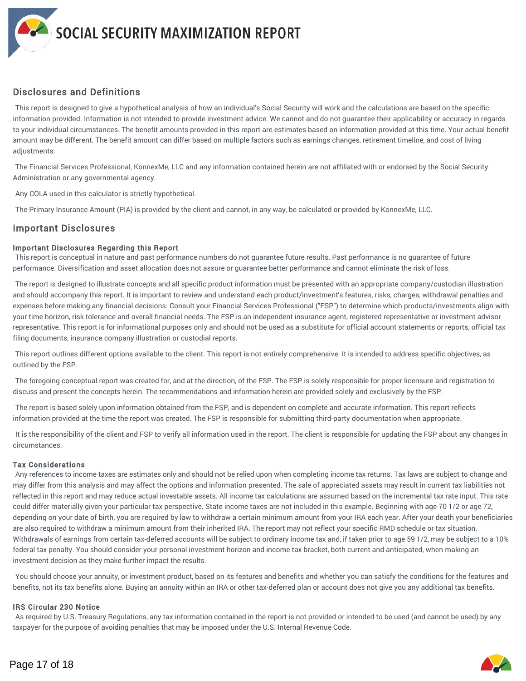#### Disclosures and Definitions

This report is designed to give a hypothetical analysis of how an individual's Social Security will work and the calculations are based on the specific information provided. Information is not intended to provide investment advice. We cannot and do not guarantee their applicability or accuracy in regards to your individual circumstances. The benefit amounts provided in this report are estimates based on information provided at this time. Your actual benefit amount may be different. The benefit amount can differ based on multiple factors such as earnings changes, retirement timeline, and cost of living adjustments.

The Financial Services Professional, KonnexMe, LLC and any information contained herein are not affiliated with or endorsed by the Social Security Administration or any governmental agency.

Any COLA used in this calculator is strictly hypothetical.

The Primary Insurance Amount (PIA) is provided by the client and cannot, in any way, be calculated or provided by KonnexMe, LLC.

#### Important Disclosures

#### Important Disclosures Regarding this Report

This report is conceptual in nature and past performance numbers do not guarantee future results. Past performance is no guarantee of future performance. Diversification and asset allocation does not assure or guarantee better performance and cannot eliminate the risk of loss.

The report is designed to illustrate concepts and all specific product information must be presented with an appropriate company/custodian illustration and should accompany this report. It is important to review and understand each product/investment's features, risks, charges, withdrawal penalties and expenses before making any financial decisions. Consult your Financial Services Professional ("FSP") to determine which products/investments align with your time horizon, risk tolerance and overall financial needs. The FSP is an independent insurance agent, registered representative or investment advisor representative. This report is for informational purposes only and should not be used as a substitute for official account statements or reports, official tax filing documents, insurance company illustration or custodial reports.

This report outlines different options available to the client. This report is not entirely comprehensive. It is intended to address specific objectives, as outlined by the FSP.

The foregoing conceptual report was created for, and at the direction, of the FSP. The FSP is solely responsible for proper licensure and registration to discuss and present the concepts herein. The recommendations and information herein are provided solely and exclusively by the FSP.

The report is based solely upon information obtained from the FSP, and is dependent on complete and accurate information. This report reflects information provided at the time the report was created. The FSP is responsible for submitting third-party documentation when appropriate.

It is the responsibility of the client and FSP to verify all information used in the report. The client is responsible for updating the FSP about any changes in circumstances.

#### Tax Considerations

Any references to income taxes are estimates only and should not be relied upon when completing income tax returns. Tax laws are subject to change and may differ from this analysis and may affect the options and information presented. The sale of appreciated assets may result in current tax liabilities not reflected in this report and may reduce actual investable assets. All income tax calculations are assumed based on the incremental tax rate input. This rate could differ materially given your particular tax perspective. State income taxes are not included in this example. Beginning with age 70 1/2 or age 72, depending on your date of birth, you are required by law to withdraw a certain minimum amount from your IRA each year. After your death your beneficiaries are also required to withdraw a minimum amount from their inherited IRA. The report may not reflect your specific RMD schedule or tax situation. Withdrawals of earnings from certain tax-deferred accounts will be subject to ordinary income tax and, if taken prior to age 59 1/2, may be subject to a 10% federal tax penalty. You should consider your personal investment horizon and income tax bracket, both current and anticipated, when making an investment decision as they make further impact the results.

You should choose your annuity, or investment product, based on its features and benefits and whether you can satisfy the conditions for the features and benefits, not its tax benefits alone. Buying an annuity within an IRA or other tax-deferred plan or account does not give you any additional tax benefits.

#### IRS Circular 230 Notice

As required by U.S. Treasury Regulations, any tax information contained in the report is not provided or intended to be used (and cannot be used) by any taxpayer for the purpose of avoiding penalties that may be imposed under the U.S. Internal Revenue Code.